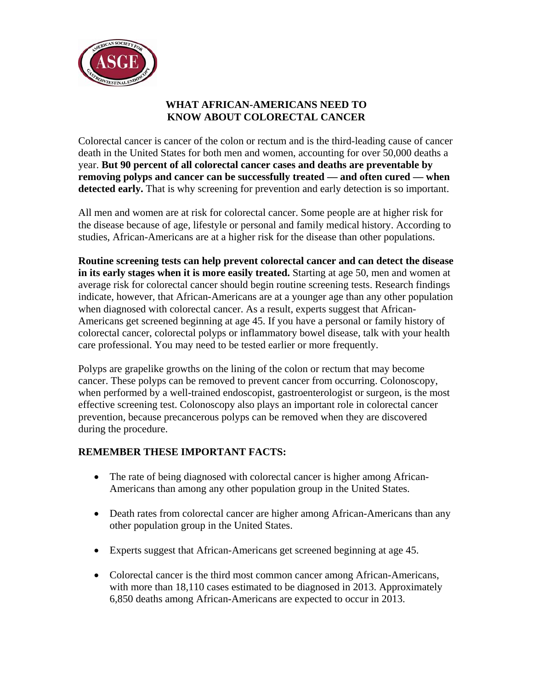

## **WHAT AFRICAN-AMERICANS NEED TO KNOW ABOUT COLORECTAL CANCER**

Colorectal cancer is cancer of the colon or rectum and is the third-leading cause of cancer death in the United States for both men and women, accounting for over 50,000 deaths a year. **But 90 percent of all colorectal cancer cases and deaths are preventable by removing polyps and cancer can be successfully treated — and often cured — when detected early.** That is why screening for prevention and early detection is so important.

All men and women are at risk for colorectal cancer. Some people are at higher risk for the disease because of age, lifestyle or personal and family medical history. According to studies, African-Americans are at a higher risk for the disease than other populations.

**Routine screening tests can help prevent colorectal cancer and can detect the disease in its early stages when it is more easily treated.** Starting at age 50, men and women at average risk for colorectal cancer should begin routine screening tests. Research findings indicate, however, that African-Americans are at a younger age than any other population when diagnosed with colorectal cancer. As a result, experts suggest that African-Americans get screened beginning at age 45. If you have a personal or family history of colorectal cancer, colorectal polyps or inflammatory bowel disease, talk with your health care professional. You may need to be tested earlier or more frequently.

Polyps are grapelike growths on the lining of the colon or rectum that may become cancer. These polyps can be removed to prevent cancer from occurring. Colonoscopy, when performed by a well-trained endoscopist, gastroenterologist or surgeon, is the most effective screening test. Colonoscopy also plays an important role in colorectal cancer prevention, because precancerous polyps can be removed when they are discovered during the procedure.

## **REMEMBER THESE IMPORTANT FACTS:**

- The rate of being diagnosed with colorectal cancer is higher among African-Americans than among any other population group in the United States.
- Death rates from colorectal cancer are higher among African-Americans than any other population group in the United States.
- Experts suggest that African-Americans get screened beginning at age 45.
- Colorectal cancer is the third most common cancer among African-Americans, with more than 18,110 cases estimated to be diagnosed in 2013. Approximately 6,850 deaths among African-Americans are expected to occur in 2013.